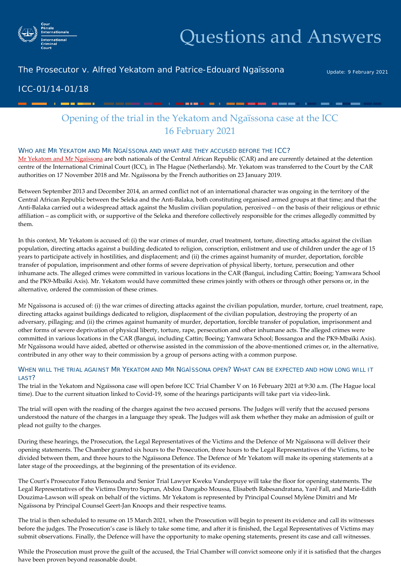

# Questions and Answers

### The Prosecutor v. Alfred Yekatom and Patrice-Edouard Ngaïssona

Update: 9 February 2021

## ICC-01/14-01/18

- - - - - -

# Opening of the trial in the Yekatom and Ngaïssona case at the ICC 16 February 2021

<u>an any kaominina mpikambana amin'ny fivo</u>

#### WHO ARE MR YEKATOM AND MR NGAÏSSONA AND WHAT ARE THEY ACCUSED BEFORE THE ICC?

[Mr Yekatom and Mr Ngaïssona](https://www.icc-cpi.int/carII/yekatom-nga%C3%AFssona) are both nationals of the Central African Republic (CAR) and are currently detained at the detention centre of the International Criminal Court (ICC), in The Hague (Netherlands). Mr. Yekatom was transferred to the Court by the CAR authorities on 17 November 2018 and Mr. Ngaïssona by the French authorities on 23 January 2019.

Between September 2013 and December 2014, an armed conflict not of an international character was ongoing in the territory of the Central African Republic between the Seleka and the Anti-Balaka, both constituting organised armed groups at that time; and that the Anti-Balaka carried out a widespread attack against the Muslim civilian population, perceived – on the basis of their religious or ethnic affiliation – as complicit with, or supportive of the Seleka and therefore collectively responsible for the crimes allegedly committed by them.

In this context, Mr Yekatom is accused of: (i) the war crimes of murder, cruel treatment, torture, directing attacks against the civilian population, directing attacks against a building dedicated to religion, conscription, enlistment and use of children under the age of 15 years to participate actively in hostilities, and displacement; and (ii) the crimes against humanity of murder, deportation, forcible transfer of population, imprisonment and other forms of severe deprivation of physical liberty, torture, persecution and other inhumane acts. The alleged crimes were committed in various locations in the CAR (Bangui, including Cattin; Boeing; Yamwara School and the PK9-Mbaïki Axis). Mr. Yekatom would have committed these crimes jointly with others or through other persons or, in the alternative, ordered the commission of these crimes.

Mr Ngaïssona is accused of: (i) the war crimes of directing attacks against the civilian population, murder, torture, cruel treatment, rape, directing attacks against buildings dedicated to religion, displacement of the civilian population, destroying the property of an adversary, pillaging; and (ii) the crimes against humanity of murder, deportation, forcible transfer of population, imprisonment and other forms of severe deprivation of physical liberty, torture, rape, persecution and other inhumane acts. The alleged crimes were committed in various locations in the CAR (Bangui, including Cattin; Boeing; Yamwara School; Bossangoa and the PK9-Mbaïki Axis). Mr Ngaïssona would have aided, abetted or otherwise assisted in the commission of the above-mentioned crimes or, in the alternative, contributed in any other way to their commission by a group of persons acting with a common purpose.

#### WHEN WILL THE TRIAL AGAINST MR YEKATOM AND MR NGAÏSSONA OPEN? WHAT CAN BE EXPECTED AND HOW LONG WILL IT LAST?

The trial in the Yekatom and Ngaïssona case will open before ICC Trial Chamber V on 16 February 2021 at 9:30 a.m. (The Hague local time). Due to the current situation linked to Covid-19, some of the hearings participants will take part via video-link.

The trial will open with the reading of the charges against the two accused persons. The Judges will verify that the accused persons understood the nature of the charges in a language they speak. The Judges will ask them whether they make an admission of guilt or plead not guilty to the charges.

During these hearings, the Prosecution, the Legal Representatives of the Victims and the Defence of Mr Ngaïssona will deliver their opening statements. The Chamber granted six hours to the Prosecution, three hours to the Legal Representatives of the Victims, to be divided between them, and three hours to the Ngaïssona Defence. The Defence of Mr Yekatom will make its opening statements at a later stage of the proceedings, at the beginning of the presentation of its evidence.

The Court's Prosecutor Fatou Bensouda and Senior Trial Lawyer Kweku Vanderpuye will take the floor for opening statements. The Legal Representatives of the Victims Dmytro Suprun, Abdou Dangabo Moussa, Elisabeth Rabesandratana, Yaré Fall, and Marie-Edith Douzima-Lawson will speak on behalf of the victims. Mr Yekatom is represented by Principal Counsel Mylène Dimitri and Mr Ngaïssona by Principal Counsel Geert-Jan Knoops and their respective teams.

The trial is then scheduled to resume on 15 March 2021, when the Prosecution will begin to present its evidence and call its witnesses before the judges. The Prosecution's case is likely to take some time, and after it is finished, the Legal Representatives of Victims may submit observations. Finally, the Defence will have the opportunity to make opening statements, present its case and call witnesses.

While the Prosecution must prove the guilt of the accused, the Trial Chamber will convict someone only if it is satisfied that the charges have been proven beyond reasonable doubt.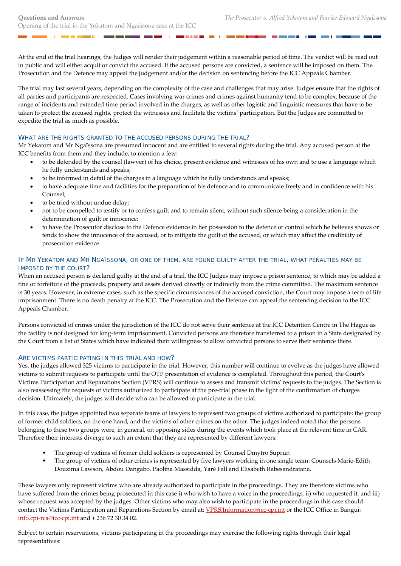a a

. . . .

At the end of the trial hearings, the Judges will render their judgement within a reasonable period of time. The verdict will be read out in public and will either acquit or convict the accused. If the accused persons are convicted, a sentence will be imposed on them. The Prosecution and the Defence may appeal the judgement and/or the decision on sentencing before the ICC Appeals Chamber.

The trial may last several years, depending on the complexity of the case and challenges that may arise. Judges ensure that the rights of all parties and participants are respected. Cases involving war crimes and crimes against humanity tend to be complex, because of the range of incidents and extended time period involved in the charges, as well as other logistic and linguistic measures that have to be taken to protect the accused rights, protect the witnesses and facilitate the victims' participation. But the Judges are committed to expedite the trial as much as possible.

#### WHAT ARE THE RIGHTS GRANTED TO THE ACCUSED PERSONS DURING THE TRIAL?

Mr Yekatom and Mr Ngaïssona are presumed innocent and are entitled to several rights during the trial. Any accused person at the ICC benefits from them and they include, to mention a few:

- to be defended by the counsel (lawyer) of his choice, present evidence and witnesses of his own and to use a language which he fully understands and speaks;
- to be informed in detail of the charges in a language which he fully understands and speaks;
- to have adequate time and facilities for the preparation of his defence and to communicate freely and in confidence with his Counsel;
- to be tried without undue delay;
- not to be compelled to testify or to confess guilt and to remain silent, without such silence being a consideration in the determination of guilt or innocence;
- to have the Prosecutor disclose to the Defence evidence in her possession to the defence or control which he believes shows or tends to show the innocence of the accused, or to mitigate the guilt of the accused, or which may affect the credibility of prosecution evidence.

#### IF MR YEKATOM AND MR NGAÏSSONA, OR ONE OF THEM, ARE FOUND GUILTY AFTER THE TRIAL, WHAT PENALTIES MAY BE IMPOSED BY THE COURT?

When an accused person is declared guilty at the end of a trial, the ICC Judges may impose a prison sentence, to which may be added a fine or forfeiture of the proceeds, property and assets derived directly or indirectly from the crime committed. The maximum sentence is 30 years. However, in extreme cases, such as the specific circumstances of the accused conviction, the Court may impose a term of life imprisonment. There is no death penalty at the ICC. The Prosecution and the Defence can appeal the sentencing decision to the ICC Appeals Chamber.

Persons convicted of crimes under the jurisdiction of the ICC do not serve their sentence at the ICC Detention Centre in The Hague as the facility is not designed for long-term imprisonment. Convicted persons are therefore transferred to a prison in a State designated by the Court from a list of States which have indicated their willingness to allow convicted persons to serve their sentence there.

#### ARE VICTIMS PARTICIPATING IN THIS TRIAL AND HOW?

Yes, the judges allowed 325 victims to participate in the trial. However, this number will continue to evolve as the judges have allowed victims to submit requests to participate until the OTP presentation of evidence is completed. Throughout this period, the Court's Victims Participation and Reparations Section (VPRS) will continue to assess and transmit victims' requests to the judges. The Section is also reassessing the requests of victims authorized to participate at the pre-trial phase in the light of the confirmation of charges decision. Ultimately, the judges will decide who can be allowed to participate in the trial.

In this case, the judges appointed two separate teams of lawyers to represent two groups of victims authorized to participate: the group of former child soldiers, on the one hand, and the victims of other crimes on the other. The judges indeed noted that the persons belonging to these two groups were, in general, on opposing sides during the events which took place at the relevant time in CAR. Therefore their interests diverge to such an extent that they are represented by different lawyers:

- The group of victims of former child soldiers is represented by Counsel Dmytro Suprun
- The group of victims of other crimes is represented by five lawyers working in one single team: Counsels Marie-Edith Douzima Lawson, Abdou Dangabo, Paolina Massidda, Yaré Fall and Elisabeth Rabesandratana.

These lawyers only represent victims who are already authorized to participate in the proceedings. They are therefore victims who have suffered from the crimes being prosecuted in this case i) who wish to have a voice in the proceedings, ii) who requested it, and iii) whose request was accepted by the judges. Other victims who may also wish to participate in the proceedings in this case should contact the Victims Participation and Reparations Section by email at: *VPRS.Information@icc-cpi.int* or the ICC Office in Bangui: [info.cpi-rca@icc-cpi.int](mailto:info.cpi-rca@icc-cpi.int) and + 236 72 30 34 02.

Subject to certain reservations, victims participating in the proceedings may exercise the following rights through their legal representatives: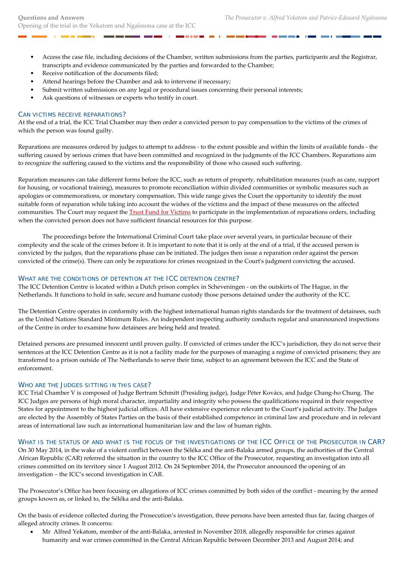- Access the case file, including decisions of the Chamber, written submissions from the parties, participants and the Registrar, transcripts and evidence communicated by the parties and forwarded to the Chamber;
- Receive notification of the documents filed;

- 1

- Attend hearings before the Chamber and ask to intervene if necessary;
- Submit written submissions on any legal or procedural issues concerning their personal interests;
- Ask questions of witnesses or experts who testify in court.

#### CAN VICTIMS RECEIVE REPARATIONS?

At the end of a trial, the ICC Trial Chamber may then order a convicted person to pay compensation to the victims of the crimes of which the person was found guilty.

Reparations are measures ordered by judges to attempt to address - to the extent possible and within the limits of available funds - the suffering caused by serious crimes that have been committed and recognized in the judgments of the ICC Chambers. Reparations aim to recognize the suffering caused to the victims and the responsibility of those who caused such suffering.

Reparation measures can take different forms before the ICC, such as return of property, rehabilitation measures (such as care, support for housing, or vocational training), measures to promote reconciliation within divided communities or symbolic measures such as apologies or commemorations, or monetary compensation. This wide range gives the Court the opportunity to identify the most suitable form of reparation while taking into account the wishes of the victims and the impact of these measures on the affected communities. The Court may request the [Trust Fund for Victims](https://www.icc-cpi.int/tfv) to participate in the implementation of reparations orders, including when the convicted person does not have sufficient financial resources for this purpose.

The proceedings before the International Criminal Court take place over several years, in particular because of their complexity and the scale of the crimes before it. It is important to note that it is only at the end of a trial, if the accused person is convicted by the judges, that the reparations phase can be initiated. The judges then issue a reparation order against the person convicted of the crime(s). There can only be reparations for crimes recognized in the Court's judgment convicting the accused.

#### WHAT ARE THE CONDITIONS OF DETENTION AT THE ICC DETENTION CENTRE?

The ICC Detention Centre is located within a Dutch prison complex in Scheveningen - on the outskirts of The Hague, in the Netherlands. It functions to hold in safe, secure and humane custody those persons detained under the authority of the ICC.

The Detention Centre operates in conformity with the highest international human rights standards for the treatment of detainees, such as the United Nations Standard Minimum Rules. An independent inspecting authority conducts regular and unannounced inspections of the Centre in order to examine how detainees are being held and treated.

Detained persons are presumed innocent until proven guilty. If convicted of crimes under the ICC's jurisdiction, they do not serve their sentences at the ICC Detention Centre as it is not a facility made for the purposes of managing a regime of convicted prisoners; they are transferred to a prison outside of The Netherlands to serve their time, subject to an agreement between the ICC and the State of enforcement.

#### WHO ARE THE JUDGES SITTING IN THIS CASE?

ICC Trial Chamber V is composed of Judge Bertram Schmitt (Presiding judge), Judge Péter Kovács, and Judge Chang-ho Chung. The ICC Judges are persons of high moral character, impartiality and integrity who possess the qualifications required in their respective States for appointment to the highest judicial offices. All have extensive experience relevant to the Court's judicial activity. The Judges are elected by the Assembly of States Parties on the basis of their established competence in criminal law and procedure and in relevant areas of international law such as international humanitarian law and the law of human rights.

#### WHAT IS THE STATUS OF AND WHAT IS THE FOCUS OF THE INVESTIGATIONS OF THE ICC OFFICE OF THE PROSECUTOR IN CAR?

On 30 May 2014, in the wake of a violent conflict between the Séléka and the anti-Balaka armed groups, the authorities of the Central African Republic (CAR) referred the situation in the country to the ICC Office of the Prosecutor, requesting an investigation into all crimes committed on its territory since 1 August 2012. On 24 September 2014, the Prosecutor announced the opening of an investigation – the ICC's second investigation in CAR.

The Prosecutor's Office has been focusing on allegations of ICC crimes committed by both sides of the conflict - meaning by the armed groups known as, or linked to, the Séléka and the anti-Balaka.

On the basis of evidence collected during the Prosecution's investigation, three persons have been arrested thus far, facing charges of alleged atrocity crimes. It concerns:

• Mr Alfred Yekatom, member of the anti-Balaka, arrested in November 2018, allegedly responsible for crimes against humanity and war crimes committed in the Central African Republic between December 2013 and August 2014; and